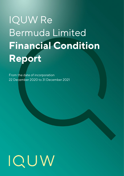## IQUW Re Bermuda Limited **Financial Condition Report**

From the date of incorporation 22 December 2020 to 31 December 2021

# $ICUN$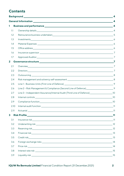### **Contents**

|                         |                                                                                                                                                                                                                                | 4              |
|-------------------------|--------------------------------------------------------------------------------------------------------------------------------------------------------------------------------------------------------------------------------|----------------|
|                         |                                                                                                                                                                                                                                | 4              |
| 1                       |                                                                                                                                                                                                                                |                |
| 1.1                     |                                                                                                                                                                                                                                |                |
| 1.2                     |                                                                                                                                                                                                                                | 5              |
| 1.3                     |                                                                                                                                                                                                                                |                |
| 1.4                     |                                                                                                                                                                                                                                |                |
| 1.5                     |                                                                                                                                                                                                                                |                |
| 1.6                     |                                                                                                                                                                                                                                | $\overline{7}$ |
| 1.7                     |                                                                                                                                                                                                                                |                |
| $\mathbf{2}$            | Governance structure 2000 and 2000 and 2000 and 2000 and 2000 and 2000 and 2000 and 2000 and 2000 and 2000 and 2000 and 2000 and 2000 and 2000 and 2000 and 2000 and 2000 and 2000 and 2000 and 2000 and 2000 and 2000 and 200 |                |
| 2.1                     |                                                                                                                                                                                                                                |                |
| 2.2                     |                                                                                                                                                                                                                                |                |
| 2.3                     |                                                                                                                                                                                                                                | 8              |
| 2.4                     |                                                                                                                                                                                                                                |                |
| 2.5                     |                                                                                                                                                                                                                                |                |
| 2.6                     | Line 2 - Risk Management & Compliance (Second Line of Defence)_______________________________9                                                                                                                                 |                |
| 2.7                     | Line 3 - Independent Assurance/Internal Audit (Third Line of Defence) ___________________10                                                                                                                                    |                |
| 2.8                     |                                                                                                                                                                                                                                |                |
| 2.9                     |                                                                                                                                                                                                                                |                |
| 2.10                    |                                                                                                                                                                                                                                |                |
| 2.11                    | Actuarial 11                                                                                                                                                                                                                   |                |
| $\overline{\mathbf{3}}$ |                                                                                                                                                                                                                                | $\frac{11}{2}$ |
| 3.1                     |                                                                                                                                                                                                                                |                |
| 3.2                     |                                                                                                                                                                                                                                |                |
| 3.3                     |                                                                                                                                                                                                                                |                |
| 3.4                     |                                                                                                                                                                                                                                |                |
| 3.5                     |                                                                                                                                                                                                                                |                |
| 3.6                     |                                                                                                                                                                                                                                | 14             |
| 3.7                     |                                                                                                                                                                                                                                |                |
| 3.8                     |                                                                                                                                                                                                                                |                |
| 3.9                     |                                                                                                                                                                                                                                |                |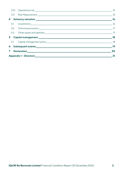|  |  | 3.10 Operational risk 15   |                  |
|--|--|----------------------------|------------------|
|  |  |                            |                  |
|  |  |                            |                  |
|  |  |                            |                  |
|  |  |                            |                  |
|  |  |                            |                  |
|  |  | 5 Capital management 18 18 |                  |
|  |  |                            |                  |
|  |  |                            | $\frac{1}{2}$ 19 |
|  |  |                            | 20               |
|  |  | 21                         |                  |
|  |  |                            |                  |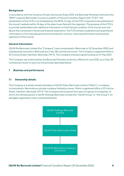#### <span id="page-3-0"></span>**Background**

In accordance with the Insurance (Public Disclosure) Rules 2015, the Bermuda Monetary Authority (the "BMA") requires Bermudian insurers to publish a Financial Condition Report (the "FCR"). The presentation of the FCR is not templated by the BMA. A copy of the FCR is required to be published on the insurer's website within 14 days of the date it was filed with the regulator. The purpose of the FCR is to provide stakeholders with additional information on the financial condition of the insurer over and above that contained in the annual financial statements. The FCR contains qualitative and quantitative information on the corporate governance framework, solvency, financial performance and business operations of the insurer.

#### <span id="page-3-1"></span>**General Information**

IQUW Re Bermuda Limited (the "Company") was incorporated in Bermuda on 22 December 2020 and subsequently licenced in Bermuda as a Class 3B commercial insurer. The Company's registered office is 22 Victoria Street, Hamilton, Bermuda, HM 12. The Company received capital funding on 27 May 2021.

The Company was authorised by the Bermuda Monetary Authority, effective 4 June 2021, as a Class 3B commercial insurer to carry out the activities described below.

#### <span id="page-3-2"></span>**1 Business and performance**

#### <span id="page-3-3"></span>**1.1 Ownership details**

The Company is a wholly owned subsidiary of IQUW Midco Bermuda Limited ("Midco"), a company incorporated in Bermuda as a private company limited by shares. Midco's registered office is 22 Victoria Street, Hamilton, Bermuda, HM 12. The Company and its parent form part of a group of companies, of which the ultimate parent is IQUW Holdings Bermuda Limited (the "IQUW Group" or "the Group"). An abridged organisation chart is presented below.

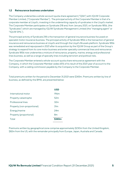#### <span id="page-4-0"></span>**1.2 Reinsurance business undertaken**

The Company underwrites a whole-account quota share agreement ("QSA") with IQUW Corporate Member Limited, ("Corporate Member"). The principal activity of the Corporate Member is that of a corporate member at Lloyd's, investing in the underwriting capacity of syndicates in the Lloyd's market. The Corporate Member participates on Syndicate 218 and, from January 2021, on Syndicate 1856, (the "Syndicates") which are managed by IQUW Syndicate Management Limited (the "managing agent" or "IQUW SML").

The principal activity of Syndicate 218 is the transaction of general insurance business focussed on specialist motor insurance business. The principal activity of Syndicate 1856 is the transaction of general insurance and reinsurance business at Lloyd's and through the Lloyd's Brussels platform. Syndicate 1856 was remediated and repurposed in 2021 after its acquisition by the IQUW Group as part of the Group's strategy to expand from its core motor business and enter specialty commercial lines and reinsurance. Syndicate 1856 now underwrites a mixture of reinsurance, property, marine, energy and professional lines business, as well as a range of specialty lines including terrorism and political risks.

The Corporate Member entered a whole-account quota share reinsurance agreement with the Company, in which the Corporate Member cedes 65% of its result of the 2021 year of account to the Company, with a ceding commission payable by the Company to the Corporate Member.

Total premiums written for the period to December 31,2021 were \$343m. Premiums written by line of business, as defined by the BMA, are presented below:

|                             | USD             |
|-----------------------------|-----------------|
| International motor         | 196m            |
| Property catastrophe        | 52m             |
| Professional lines          | 32m             |
| Property (non-proportional) | 31 <sub>m</sub> |
| Energy/marine               | 24m             |
| Property (proportional)     | 8m              |
| Total                       |                 |
|                             |                 |

Premiums written by geographical zone comprise approximately \$230m from the United Kingdom, \$82m from the US, with the remainder principally from Europe, Japan, Australia and Canada.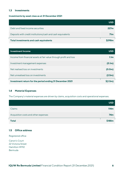#### <span id="page-5-0"></span>**1.3 Investments**

#### **Investments by asset class as at 31 December 2021**

|                                                             | <b>USD</b>      |
|-------------------------------------------------------------|-----------------|
| Debt and fixed income securities                            | 227m            |
| Deposits with credit institutions/cash and cash equivalents | 71 <sub>m</sub> |
| Total investments and cash equivalents                      |                 |

| Investment Income                                                  | USD                 |
|--------------------------------------------------------------------|---------------------|
| Income from financial assets at fair value through profit and loss | 1.1 <sub>m</sub>    |
| Investment management expenses                                     | (0.1m)              |
| Net realised loss on investments                                   | (0.0 <sub>m</sub> ) |
| Net unrealised loss on investments                                 | (2.5m)              |
| Investment return for the period ending 31 December 2021           | S(1.5m)             |

#### <span id="page-5-1"></span>**1.4 Material Expenses**

The Company's material expenses are driven by claims, acquisition costs and operational expenses.

|                                      | <b>USD</b>       |
|--------------------------------------|------------------|
| Claims                               | 114 <sub>m</sub> |
| Acquisition costs and other expenses |                  |
| <b>Total</b>                         | \$188m           |

#### <span id="page-5-2"></span>**1.5 Office address**

Registered office

Canon's Court 22 Victoria Street Hamilton HM12 Bermuda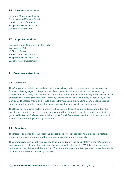#### <span id="page-6-0"></span>**1.6 Insurance supervisor**

Bermuda Monetary Authority BMA House, 43 Victoria Street Hamilton HM12, Bermuda Telephone: +1 441 295 5278 Website: www.bma.bm

#### <span id="page-6-1"></span>**1.7 Approved Auditor**

PricewaterhouseCoopers Ltd., Bermuda Washington Mall 16 Church Street Hamilton HM11, Bermuda Telephone: +1 441 295 2000 Website: www.pwc.com/bm

#### <span id="page-6-2"></span>**2 Governance structure**

#### <span id="page-6-3"></span>**2.1 Overview**

The Company has established and maintains a sound corporate governance and risk management framework having regard to the principles of corporate discipline, accountability, responsibility, compliance and oversight in line with best international practice and Bermuda regulation. The board of directors (the "Board") manages the Company's affairs and has overall fiduciary responsibility for the Company. The Board meets on a regular basis in Bermuda and the standing Board meeting agenda items include the detailed review of financial, underwriting and investment performance.

The Board has delegated certain functions to three committees, the audit and risk committee, the investment committee and the remuneration committee. Committee functions and responsibilities are governed by terms of reference established by the Board. Committee members include directors with additional members appointed by the Board.

#### <span id="page-6-4"></span>**2.2 Directors**

The Board is comprised of four executive directors and two independent non-executive directors. Details of the Board members and their experience can be found in Appendix 1.

The compensation philosophy is designed to attract and retain top quality talent in the re/insurance industry and to create long-term alignment of interest with other key IQUW stakeholders including policyholders, regulators, and shareholders. The renumeration committee operates in accordance with terms of reference which are set by the Board.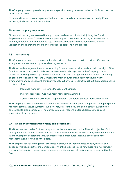The Company does not provide supplementary pension or early retirement schemes for Board members or senior executives

No material transactions are in place with shareholder controllers, persons who exercise significant influence, the Board or senior executives.

#### **Fitness and propriety requirement**

Fitness and propriety are assessed for any prospective Director prior to their joining the Board. Employees are assessed for their fitness and propriety at appointment, including an assessment of integrity, reputation and competence. IQUW conducts background checks, reference checks, verification of designations and other verifications as part of its hiring process.

#### <span id="page-7-0"></span>**2.3 Outsourcing**

The Company outsources certain operational activities to third-party service providers. Outsourcing arrangements are governed by service level agreements.

The Board and management retain responsibility for outsourced activities and maintain oversight of the functions carried out by each third-party service provider. Management of the Company conduct reviews of services provided by each third party and considers the appropriateness of their continuing engagement. Management of the Company maintain an outsourcing policy for governing the arrangements and contracts with third party suppliers. Service providers throughout the reporting period are listed below.

- Insurance manager Horseshoe Management Limited.
- Investment services Conning Asset Management Limited.
- Corporate secretarial services Appleby Global Corporate Services (Bermuda) Limited.

The Company also outsources certain operational activities to other group companies. During the period risk management, actuarial, internal audit, finance, HR, technology and administrative support were outsourced to group companies. The Company remains responsible for all decision making and supervision of such services.

#### <span id="page-7-1"></span>**2.4 Risk management and solvency self-assessment**

The Board are responsible for the oversight of the risk management policy. The main objective of risk management is to protect shareholders and reinsurance counterparties. Risk management is embedded into the Company's operations through processes and procedures that have developed by the management and reviewed by the Board.

The Company has risk management processes in place, which identify, asses, control, monitor and periodically review risks that the Company is or might be exposed to and how those risks might impact the overall risk profile. These risks are reflected in the Company's risk register which is reviewed by the Board.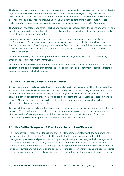The Board has documented procedures to mitigate and control each of the risks identified within the risk register, which address underwriting, investment, credit, operational, legal, strategic and reputational risks. These are subject to Board review and approval on an annual basis. The Board has reviewed the potential impact various risks might have upon the Company to determine whether such risks are material and what actions can be made to manage and mitigate material risks to the Company.

The Company has established strict reporting and reviewing processes along the entire underwriting and investment process to ensure that risks are not only identified but also that risk measures and controls are in place to take appropriate actions.

In connection with reviewing and approving the capital management process and capital allocation of the Company, the Company assesses its capital adequacy according to the Bermuda Monetary Authority requirements. The Company documents its Commercial Insurer's Solvency Self-Assessment ("CISSA") and Bermuda Solvency Capital Requirement ("BSCR") processes and submits them to the Board for approval.

Overall responsibility for Risk Management rests with the Board, which exercises its responsibility through the Risk Management Framework.

Integral to an effective Risk Management Framework is the internal control environment. A "three lines of defence" model is operated that defines the roles and responsibilities for internal control across the company; a summary of which follows:

#### <span id="page-8-0"></span>**2.5 Line 1 – Business Units (First Line of Defence)**

As previously stated, the Board sets the corporate and operational strategies and in doing so sets the risk appetites within which the business shall operate. The key risks to those strategies are allocated to risk owners (set at an Executive level and may be delegated) and recorded in the risk register. A suite of controls is developed around these risks, which are also allocated to individuals and recorded in the risk register. All staff members are responsible for the effective management of risk including the identification of new and emerging risks.

To support the activities and operational processes of the business, a suite of policies and procedures are prepared. These policies and procedures reflect the strategies employed by the business and provide direction to all staff in the performance of their roles and responsibilities. Senior and Executive Management provide oversight of the day-to-day operation of the business.

#### <span id="page-8-1"></span>**2.6 Line 2 – Risk Management & Compliance (Second Line of Defence)**

Risk Management is responsible for aligning the Risk Management Strategy with the corporate and operational strategies set by the Board, facilitating the implementation and operation of Risk Management processes and procedures and supporting risk mitigation strategies. Risk Management is also integral to the business planning process to ensure that the framework continues to meet and reflect the needs of the business. Risk Management is appropriately positioned to provide challenge to key control owners and risk owners on the adequacy of the control environment and provide insight into the business planning process and any emerging risks relevant to the strategic objectives of the business.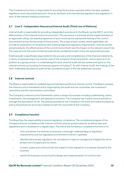The Compliance function is responsible for ensuring the business operates within the laws, byelaws, regulations and rules published and in force by domestic and international legislators and regulators in each of the relevant trading jurisdictions.

#### <span id="page-9-0"></span>**2.7 Line 3 – Independent Assurance/Internal Audit (Third Line of Defence)**

Internal Audit is responsible for providing independent assurance to the Board, via the ARCC, as to the effectiveness of the internal control environment. This assurance is achieved via the implementation of an approved rolling, risk-based programme of work involving the substantive testing of the control environment across the key areas of the business. The scope of each review, where applicable, will include an assessment of compliance with external legal and regulatory requirements, internal policies and procedures, the effectiveness of the control environment and the impact on the relevant area of risk. The outputs from the work of internal audit will be considered as part of the risk assessment process.

External audit is specifically responsible for the accuracy and completeness of the financial statements, in terms of representing a true and fair view of the company's financial position, and to opine as to its position as a going concern. In undertaking this work, external audit will also review and opine on the internal controls surrounding its financial systems; including IT. As with Internal Audit, the findings of the work undertaken by external audit will be considered as part of the risk assessment process.

#### <span id="page-9-1"></span>**2.8 Internal controls**

The Board is responsible for establishing and maintaining effective internal control. The Board oversees the internal control framework and is supported by the audit and risk committee, the investment committee and the remuneration committee.

The Company's internal control framework covers a range of processes including underwriting, claims, investments, risk management and operation functions. The Company has in place various policies to manage the assumption of risk. The policies provide for the Company's risk limits and tolerance levels as well as the process for ensuring compliance with the risk profile of the Company.

#### <span id="page-9-2"></span>**2.9 Compliance function**

The Board has the responsibility to ensure regulatory compliance. The compliance program of the Company ensures compliance with internal controls, policies and procedures, as well as laws and regulations and is reviewed on a regular basis. The role of the Company's compliance function is to:

- train and advise the business to promote a thorough understanding of regulatory requirements and the regulatory environment in which it operates
- identify and evaluate regulatory risk and advise on ways to manage and mitigate the risk to protect the Company and its clients
- to track, assess and communicate the impact of new regulation in a manner tailored to the business
- advise the business concerning the design and implementation of controls; and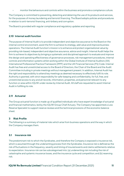• monitor the behaviours and controls within the business and promote a compliance culture.

The Company is committed to preventing, detecting and deterring the use of its products and services, for the purposes of money laundering and terrorist financing. The Board adopts policies and procedures in relation to anti-terrorist financing, anti-bribery and corruption.

The Board is provided with regular compliance and regulatory updates and reporting.

#### <span id="page-10-0"></span>**2.10 Internal audit function**

The purpose of Internal Audit is to provide independent and objective assurance to the Board on the internal control environment, assist the firm to achieve its strategy, add value and improve business operations. The Internal Audit function's mission is to enhance and protect organisational value by providing risk-based, independent and objective assurance, advice and insight. Internal Audit helps the firm to achieve its objectives by bringing a systematic and disciplined approach to evaluate and improve the design and operating effectiveness of governance processes, risk management procedures, internal controls and information systems whilst working within the Global Institute of Internal Auditors (IIA) International Professional Practice Framework (IPPF) and the UK Financial Services (FS) Code. Internal Audit has free and unrestricted access to the Board of Directors, the Chair of the Board and the Audit Committee including in private meetings without management present. In addition, Internal Audit has the right and responsibility to attend key meetings as deemed necessary to effectively fulfil its role. Authority is granted, with strict responsibility for safe-keeping and confidentiality, for full, free, and unrestricted access to any and all records, information, properties, and personnel relevant to any function or area within IQUW under review by Internal Audit. All staff are requested to assist Internal Audit in fulfilling its role.

#### <span id="page-10-1"></span>**2.11 Actuarial**

The Group actuarial function is made up of qualified individuals who have expert knowledge of actuarial and financial mathematics, led by the IQUW Group Chief Actuary. The Company has appointed a Loss Reserve Specialist to support reserve reviews and the technical provisions of the economic balance sheet.

#### <span id="page-10-2"></span>**3 Risk Profile**

The following is a summary of material risks which arise from business operations and the way in which the Company manages them.

#### <span id="page-10-3"></span>**3.1 Insurance risk**

The predominant risk to which the Syndicates, and therefore the Company is exposed is insurance risk, which is assumed through the underwriting process from the Syndicates. Insurance risk is defined as the risk of fluctuations in the frequency, severity and timing of insured events and claims settlements relative to expectation. Insurance risk can be subcategorised into: (a) underwriting risk including the risk of catastrophe and systemic insurance losses, and the insurance cycle and competition; and (b) reserving risk.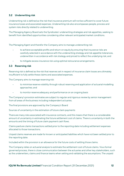#### <span id="page-11-0"></span>**3.2 Underwriting risk**

Underwriting risk is defined as the risk that insurance premium will not be sufficient to cover future insurance losses and associated expenses. Underwriting risk also encompasses people, process and system risks directly related to underwriting.

The Managing Agency Board sets the Syndicates' underwriting strategies and risk appetites, seeking to benefit from identified opportunities considering other relevant anticipated market conditions.

The Managing Agent and therefor the Company aims to manage underwriting risk:

- to achieve acceptable profits and return on equity by ensuring that insurance risks are carefully selected in accordance with the underwriting strategy and risk appetite tolerances, underwritten in accordance with risk strategy and priced to reflect the underlying risk; and
- to mitigate excess insurance risk using optimal reinsurance arrangements.

#### <span id="page-11-1"></span>**3.3 Reserving risk**

Reserving risk is defined as the risk that reserves set in respect of insurance claim losses are ultimately insufficient to fully settle these claims and associated expenses.

The Company aims to manage reserving risk:

- to minimise reserve volatility through robust reserving and application of actuarial modelling approaches; and
- to monitor reserve adequacy and performance on an ongoing basis

The Company's provision estimates are subject to regular and rigorous review by senior management from all areas of the business including independent actuaries.

The final provisions are approved by the Company's Board

Sources of uncertainty in the estimation of future claim payments

There are many risks associated with insurance contracts, and this means that there is a considerable amount of uncertainty in estimating the future settlement cost of claims. There is uncertainty in both the amounts and the timing of future claim payment cash flows.

Claims paid are claims transactions settled prior to the reporting date including settlement expenses allocated to those transactions.

Unpaid claims reserves are made for known or anticipated liabilities which have not been settled prior to the reporting date.

Included within the provision is an allowance for the future costs of settling those claims.

The Company relies on actuarial analysis to estimate the settlement cost of future claims. Via a formal governed process, there is close communication between the actuaries and other key stakeholders, such as the underwriters, claims and finance teams when setting and validating the assumptions. The unpaid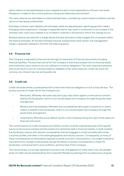claims reserve is estimated based on prior experience and current expectations of future cost levels. Allowance is made for the current premium rating and inflationary environment.

The claim reserves are estimated on a best estimate basis, considering current market conditions and the nature of risks being underwritten.

Estimates of where claim liabilities will ultimately settle are adjusted each reporting period to reflect emerging claims experience. Changes in expected claims may result in a reduction or an increase in the ultimate claim costs and a release or an increase in reserves in the period in which the change occurs.

Booked reserves are held with a margin above the best estimate to help mitigate the uncertainty within the reserve estimates. As the best estimate matures and becomes more certain, the management margin is gradually released in line with the reserving policy.

#### <span id="page-12-0"></span>**3.4 Financial risk**

The Company is exposed to financial risk through its ownership of financial instruments including financial liabilities. The key financial risk for the Company is that the proceeds from its financial assets and investment return there on are not sufficient to fund its obligations. The most important elements that could result in such an outcome relate to reliability of fair value measures, credit risk, price risk, currency risk, interest rate risk and liquidity risk.

#### <span id="page-12-1"></span>**3.5 Credit risk**

Credit risk arises where counterparties fail to meet their financial obligations in full as they fall due. The primary sources of credit risk for the Company are:

- Reinsurers; Whereby reinsurers may fail to pay valid claims against a reinsurance contract held by the Syndicates, which in turn would impact the Company through the quota share arrangement.
- Brokers and intermediaries; Whereby the counterparties fail to pass on premium or claims collect on behalf of the Syndicates, which in turn would impact the Company through the quota share arrangement.
- Investments; Whereby issuer default results in the Company losing all or part of the value of a financial instrument.

The concentrations of credit risk exposures held by insurers could be material because of the specific nature of reinsurance markets and the extent of investments held in financial markets. In both markets, the Syndicates interact with several counterparties that are engaged in similar activities with similar customer profiles, and often in the same geographies and industry sectors. Consequently, as many of these counterparties are themselves exposed to similar economic characteristics, one single localised or macroeconomic change could severely disrupt the ability of several counterparties to meet the Syndicates' contractual terms and conditions, and thus that of the Company.

The core business is to accept significant insurance risk, the appetite for other risks is low. Acceptable levels of credit risk are maintained by the Corporate Member by placing limits on exposure to singular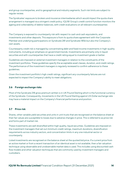and group counterparties, and to geographical and industry segments. Such risk limits are subject to regular review.

The Syndicates' exposure to brokers and insurance intermediaries which would impact the quota share arrangement is managed via a stringent credit policy. IQUW Group's credit control function monitors the ageing and collectability of debtor balances, with credit evaluations on all relevant counterparties

The Company is exposed to counterparty risk with respect to cash and cash equivalents, and investments and other deposits. This exposure is from its quota share agreement with the Corporate Member and underlying participations on Syndicate 281 and Syndicate 1856 but also the Company's own assets.

Counterparty credit risk is managed by concentrating debt and fixed income investments in high-quality instruments, including an emphasis on government bonds. Investments are primarily only in liquid securities and with counterparties that have a credit rating equal to investment grade or better.

Guidelines are imposed on external investment managers in relation to the constituents of the investment portfolios. These guidelines specify the acceptable asset classes, duration, and credit ratings. The performance of the investment managers is regularly reviewed to confirm adherence to these guidelines.

Given the investment portfolio's high credit ratings, significant any counterparty failures are not expected to impact the Company's ability to meet obligations.

#### <span id="page-13-0"></span>**3.6 Foreign exchange risks**

Most of the Syndicate 218 gross premium written is in UK Pound Sterling which is the functional currency of the Syndicate. Consequently, movements in the UK Pound Sterling against US Dollar exchange rate may have a material impact on the Company's financial performance and position.

#### <span id="page-13-1"></span>**3.7 Price risk**

Shares, other variable yield securities and units in unit trusts that are recognised on the balance sheet at their fair values are susceptible to losses due to adverse changes in price. This is referred to as price risk and forms part of market risk.

These investments are well diversified within high quality, liquid securities. Guidelines are imposed on the investment managers that set out minimum credit ratings, maximum durations, diversification requirements across industry sectors, and concentration limits in any one industrial sector or counterparty.

Listed investments are recognised on the balance sheet at the quoted bid price. If a current price from an active market or from a recent transaction of an identical asset is not available, then a fair valuation technique using observable and unobservable market data is used. This includes using discounted cash flow models and other valuation techniques that are commonly used by investment managers and custodians.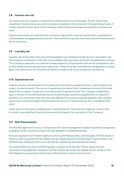#### <span id="page-14-0"></span>**3.8 Interest rate risk**

The majority of the Company's investments comprise fixed income securities. The fair value of the investment in fixed income securities is inversely correlated to the movement in market interest rates. If market rates fall, the fair value of the Company's fixed interest investments would tend to rise and vice versa.

Fixed income assets are predominantly invested in high quality corporate, government, supranational and residential mortgage backed securities. The investments typically have relatively short durations and terms to maturity.

#### <span id="page-14-1"></span>**3.9 Liquidity risk**

Liquidity risk arises where cash may not be available to pay obligations when due at a reasonable cost. The Company is exposed to cash calls on its available cash resources, mostly for the settlement of claims. The Company's approach is to maintain a large proportion of liquid assets that can be converted to cash at short notice without any significant capital loss. These funds are monitored by management on a daily basis. The Directors do not consider that there is a material risk of loss arising from liquidity risk.

#### <span id="page-14-2"></span>**3.10 Operational risk**

Operational risk is the potential for loss arising from the failure of people, process or technology or the impact of external events. The nature of operational risk means that it is dispersed across all functional areas of the Company. Group risk is considered part of operational risk. The Company is dependent upon a number of functions provided by the Group through outsourcing agreements to support its operation. It is noted that other than the risks relating to the outsourcing arrangements, the Company and Group's interest are aligned and therefore the amount of residual Group risk is considered to be small.

Cyber security risk is also considered part of operational risk. Cyber security breaches, could, if they occurred, cause significant financial losses and/or damage to the reputation of the Company.

#### <span id="page-14-3"></span>**3.11 Risk Measurement**

The Risk Management function, in conjunction with senior management, assess the potential impact and probability of each risk and include in the Risk Register if considered material.

Risks are assessed on an Inherent (before controls) and Residual (after controls) basis. A Risk Evaluation Matrix is used to quantify the risks where risks are categorised into five bandings of impact based on an inherent basis relating to factors such as financial, operational and reputational impact.

The quantification of risks in the Risk Register is carried out by the Risk Owners using historical information and judgement. Quarterly, the Risk Owners will review and update the risk ratings on the Risk Register by assessing the performance effectiveness of each internal control.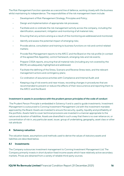The Risk Management function operates as a second line of defence, working closely with the business whilst maintaining its independence. The responsibilities of the risk management team include:

- Development of Risk Management Strategy, Principles and Policy;
- Design and implementation of appropriate risk processes;
- Facilitate and co-ordinate the risk management activity across the company, including the identification, assessment, mitigation and monitoring of all material risks;
- Ensuring that any actions arising as a result of the monitoring are addressed and monitored;
- Identify and assess the potential impact of emerging risks;
- Provide advice, consultation and training to business functions on risk and control related matters;
- Provide Risk Management reports to the ARCC and the Board on the risk profile (in context of the agreed Risk Appetite), control framework, emerging risks and risk events;
- Prepare CISSA reports, ensuring that all material risks (including any not covered by the BSCR) are adequately highlighted and addressed;
- Facilitate the defining of the Stress, Scenario and Reverse Stress tests, and the relevant management actions and contingency plans;
- Co-ordination of assurance activities with Compliance and Internal Audit; and
- Keeping a log of risk events and near misses, recording changes in procedures that are recommended to prevent or reduce the effects of their reoccurrence and reporting them to the ARCC and the Board.

#### **Investment in assets in accordance with the prudent person principles of the code of conduct**

The Prudent Person Principle is embedded in Solvency II and is used to guide investments. Investment Management is outsourced to Conning Investment Management Ltd with the investment mandate approved by the Board. Assets are invested to ensure the security, quality, liquidity and profitability of the portfolio. Assets held to cover technical provisions are invested in a manner appropriate to the nature and duration of liabilities. Assets are diversified in such a way that there is no over reliance on, or concentration of risk in, any particular asset, issuer, group of undertaking, geography, asset class or other risk attribute

#### <span id="page-15-0"></span>**4 Solvency valuation**

The valuation bases, assumptions and methods used to derive the values of statutory assets and liabilities are described below.

#### <span id="page-15-1"></span>**4.1 Investments**

The Company outsources investment management to Conning Investment Management Ltd. The Company primarily invests in short duration fixed income assets which have relatively active secondary markets. Prices are obtained from a variety of reliable third-party sources.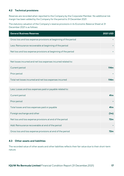#### <span id="page-16-0"></span>**4.2 Technical provisions**

Reserves are recorded when reported to the Company by the Corporate Member. No additional risk margin has been added by the Company for the period to 31 December 2021.

The statutory valuation of the Company's reserve provisions in its Economic Balance Sheet at 31 December 2021 is as follows:

| <b>General Business Reserves</b>                                  | <b>2021 USD</b>  |
|-------------------------------------------------------------------|------------------|
| Gross loss and loss expense provisions at beginning of the period |                  |
| Less: Reinsurance recoverable at beginning of the period          |                  |
| Net loss and loss expense provisions at beginning of the period   |                  |
|                                                                   |                  |
| Net losses incurred and net loss expenses incurred related to:    |                  |
| Current period                                                    | 114 <sub>m</sub> |
| Prior period                                                      |                  |
| Total net losses incurred and net loss expenses incurred          | 114 <sub>m</sub> |
|                                                                   |                  |
| Less: Losses and loss expenses paid or payable related to:        |                  |
| Current period                                                    | 41 <sub>m</sub>  |
| Prior period                                                      |                  |
| Total losses and loss expenses paid or payable                    | 41 <sub>m</sub>  |
| Foreign exchange and other                                        | (1m)             |
| Net loss and loss expense provisions at end of the period         | 72m              |
| Add: Reinsurance recoverable at end of the period                 |                  |
| Gross loss and loss expense provisions at end of the period       |                  |

#### <span id="page-16-1"></span>**4.3 Other assets and liabilities**

The recorded value of other assets and other liabilities reflects their fair value due to their short-term nature.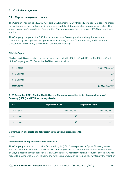#### <span id="page-17-0"></span>**5 Capital management**

#### <span id="page-17-1"></span>**5.1 Capital management policy**

The Company has issued 120,000 fully paid US\$1 shares to IQUW Midco (Bermuda) Limited. The shares have attached to them full voting, dividend, and capital distribution (including winding up) rights. The shares do not confer any rights of redemption. The remaining capital consists of US\$301.4m contributed surplus.

The Company completes the BSCR on an annual basis. Solvency and capital requirements are considered by management during the decision-making process for underwriting and investment transactions and solvency is reviewed at each Board meeting.

#### **Eligible Capital**

Eligible capital is categorised by tiers in accordance with the Eligible Capital Rules. The Eligible Capital of the Company as of 31 December 2021 is as set out below.

| <b>Total Capital</b>  | \$286,069,000 |
|-----------------------|---------------|
| Tier 3 Capital        | SO            |
| <b>Tier 2 Capital</b> | SO            |
| <b>Tier 1 Capital</b> | \$286,069,000 |

#### **At 31 December 2021, Eligible Capital for the Company as applied to its Minimum Margin of Solvency (MSM) and ECR was categorised as**

| <b>Tier</b>           | <b>Applied to ECR</b> | <b>Applied to MSM</b> |
|-----------------------|-----------------------|-----------------------|
| <b>Tier 1 Capital</b> | \$286,069,000         | \$286,069,000         |
| <b>Tier 2 Capital</b> | \$0                   | \$0                   |
| <b>Tier 3 Capital</b> | \$0                   | \$0                   |

#### **Confirmation of eligible capital subject to transitional arrangements.**

None

#### **Identification of any encumbrances on capital.**

The Company is required to provide Funds at Lloyd's ("FAL") in respect of its Quota Share Agreement with the Corporate Member. The level of FAL that Lloyd's requires a member to maintain is determined by Lloyd's based on Prudential Regulation Authority (PRA) requirements and resources criteria. FAL has regard to a number of factors including the nature and amount of risk to be underwritten by the member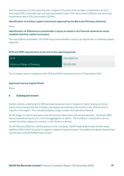and the assessment of the reserving risk in respect of business that has been underwritten. As at 31 December 2021, restricted cash and cash equivalents held in FAL amounted to \$26.6m and restricted investments held in FAL amounted to \$239m.

#### **Identification of ancillary capital instruments approved by the Bermuda Monetary Authority**

None

#### **Identification of differences in shareholder's equity as stated in the financial statements versus available statutory capital and surplus.**

The only difference between UK GAAP equity and available surplus is an adjustment to disallow prepaid expenses.

#### **ECR and MSM requirements at the end of the reporting period:**

| ECR                        | \$154,858,000 |
|----------------------------|---------------|
| Minimum Margin of Solvency | \$51,831,000  |

The Company was in compliance with ECR and MSM requirements as of 31 December 2021.

#### **Approved Internal Capital Model**

None

#### <span id="page-18-0"></span>**6 Subsequent events**

Certain policies underlying the QSA provide insurance cover in respect of claims arising out of war events and consequently the Company has exposures relating to the events in the Ukraine and its impacts in the region. This includes property, cargo, aviation and specialty interests.

At this stage, no claims have been received and any likely claims are being evaluated. Syndicate 1856 has purchased reinsurance to cover the aggregation of claims. The Company's investments do not contain any direct exposure to events in the Ukraine or Russia.

<span id="page-18-1"></span>On 24 February 2022 the ultimate parent of the Company, IQUW Holding Bermuda Limited raised additional \$60 million of equity to support underwriting the business. The additional capital raised will be transferred to IQUW Re Bermuda Limited.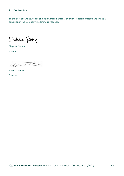#### **7 Declaration**

To the best of our knowledge and belief, this Financial Condition Report represents the financial condition of the Company in all material respects.

Stephen Young

Stephen Young Director

 $H_{c}-T_{h}B$ 

Helen Thornton Director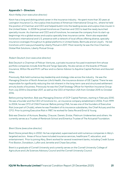#### <span id="page-20-0"></span>**Appendix 1 – Directors**

#### *Kevin Kelley (non-executive director)*

Kevin has a long and distinguished career in the insurance industry. He spent more than 30 years at Lexington Insurance Co, the surplus lines business of American International Group Inc., where he held the position of Chairman and CEO and helped build it into the leading excess and surplus lines insurer in the United States. In 2008 he joined Ironshore as Chairman and CEO to lead the newly launched specialty insurer. As chairman and CEO and of Ironshore, he oversaw the company from its start-up beginnings into a global excess and surplus specialty lines insurance carrier. Kevin also expanded Ironshore's international and U.S. presence with a network of local offices offering diverse, specialty insurance coverages throughout its global platforms in United States, Bermuda and at Lloyd's. He led Ironshore until it was purchased by Liberty Mutual in 2017. Most recently he was the Vice Chairman, Global Risk Solutions, Liberty Mutual Group.

#### *Robert Deutsch (non-executive director)*

Bob Deutsch is Chairman of Pelican Ventures, a private insurance-focused investment firm whose portfolio companies include Ariel Re and Tango Specialty. He also serves on the boards of Mosaic Insurance, Wilton Re and M.M. LaFleur and is a Senior Advisor to Aquiline Capital Partners and Assured Allies.

Previously, Bob held numerous key leadership and strategy roles across the industry. He was the Managing Director of North American Life & Health, the insurance division of GE Capital. There he was responsible for significantly reducing the risk inherent in the long-term care and structured settlement annuity books of business. Previously he was the Chief Strategy Officer for Hamilton Insurance Group from July 2014 to December 2017, as well as the CEO of Hamilton USA from October 2015 to October 2016.

Before joining Hamilton, Bob was Managing Director of GCP Capital Partners, starting in February 2010. He was a founder and the CEO of Ironshore Inc., an insurance company established in 2006. From 1999 to 2004, he was CFO of CNA Financial. Before joining CNA, he was one of the founders of Executive Risk (now part of Chubb), where he was President of its insurance subsidiaries, the Chief Actuary and the CFO. Prior to joining Executive Risk in 1987, he worked for Swiss Re and Ernst & Young.

Bob was Director of Acrisure, Beazley, Chaucer, Darwin, Enstar, Platinum Underwriters and others. He currently serves as a Trustee of Renbrook School and Emeritus Trustee of The Actuarial Foundation.

#### *Brent Stone (executive director)*

Brent Stone joined Abry in 2002. He has originated, supervised and sold numerous companies in Abry's targeted sectors. Areas of focus have included insurance services, healthcare IT, education, and entertainment. Prior to joining Abry, Brent worked for several investment banks, including Credit Suisse First Boston, Donaldson, Lufkin and Jenrette and Chase Securities.

Brent is a graduate of Cornell University and currently serves on the Cornell University College of Agriculture and Life Sciences Advisory Council and the Cornell University Council.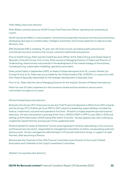#### *Peter Bilsby (executive director)*

Peter Bilsby currently serves as IQUW Group Chief Executive Officer, operating two syndicates at Lloyd's.

IQUW (Syndicate 1856) is a new property, commercial and specialty insurance and reinsurance business, developing new ways to combine data, intelligent automation and human expertise to make accurate decisions, fast.

ERS (Syndicate 218) is a leading, 70-year-old, UK motor insurer, providing quality personal and commercial insurance solutions that insures customers livelihoods and passions.

Prior to IQUW Group, Peter was the Chief Executive Officer of the Talbot Group and Global Head of Specialty of the AIG Group. Prior to this, Peter served as Managing Director of Talbot and Director of Underwriting, where he was instrumental in the development of the overall strategy of the business, including pricing, catastrophe modelling, operations and claims.

Peter joined Talbot in September 2009, as Head of Global Aerospace from XL London Market Ltd. During his time at XL, Peter was accountable for the Global Aviation P&L of \$500m, in conjunction with their Head of Specialty responsible for the strategic development of Specialty lines.

Prior to XL, Peter held the role of Managing Director for the Aviation Division of Markel International.

Peter has over 30 years' experience in the insurance market and has served on various senior committees throughout his career.

#### *Richard Hextall (executive director)*

Richard is the Group CFO. Previously he was the Chief Finance & Operations Officer from 2011 onwards and the Group CFO of Amlin plc from 1999 to 2017, where his leadership responsibilities included the finance, investments, actuarial and operations functions. Richard is a highly experienced re(insurance) executive. He was instrumental in growing Amlin from c £500m GWP in 1999 to over £3bn in 2016 and setting up Amlin Bermuda in 2005 raising \$1bn within 3 months. He also played a key role in setting up Leadenhall Capital Partners and was part of the Leadership team.

Richard started his career at Deloitte & Touche and progressed to Director specialising in the insurance and financial services sector, responsible for management of portfolio of clients, incorporating audit and advisory work. He also managed the administration of Financial Institutions Group, in support of Lead Partners, after becoming a Director.

Richard was the Chairman of the LMA Finance Committee and a Director of the Lloyd's Market Association and a Member of the Lloyd's Investment Committee.

*Stephen Young (executive director)*